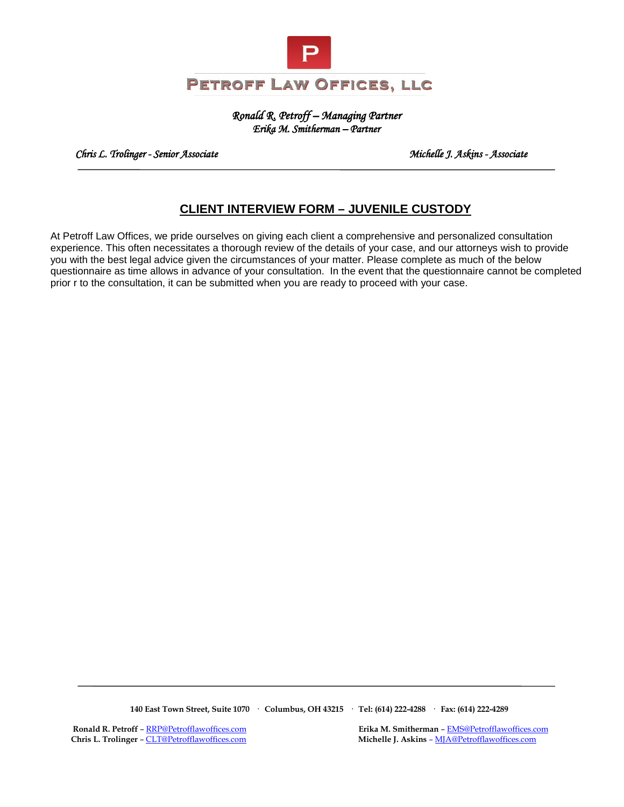

*Ronald R. Petroff – Managing Partner Erika M. Smitherman – Partner* 

 *Chris L. Trolinger - Senior Associate Michelle J. Askins - Associate* 

# **CLIENT INTERVIEW FORM – JUVENILE CUSTODY**

At Petroff Law Offices, we pride ourselves on giving each client a comprehensive and personalized consultation experience. This often necessitates a thorough review of the details of your case, and our attorneys wish to provide you with the best legal advice given the circumstances of your matter. Please complete as much of the below questionnaire as time allows in advance of your consultation. In the event that the questionnaire cannot be completed prior r to the consultation, it can be submitted when you are ready to proceed with your case.

 **140 East Town Street, Suite 1070 · Columbus, OH 43215 · Tel: (614) 222-4288 · Fax: (614) 222-4289**

**Ronald R. Petroff** [– RRP@Petrofflawoffices.com](mailto:RRP@Petrofflawoffices.com) **Erika M. Smitherman** [– EMS@Petrofflawoffices.com](mailto:%E2%80%93%20EMS@Petrofflawoffices.com) Chris L. Trolinger – CLT@Petrofflawoffices.com **Michelle J. Askins** – MJA@Petrofflawoffices.com **Michelle J. Askins – MJA@Petrofflawoffices.com**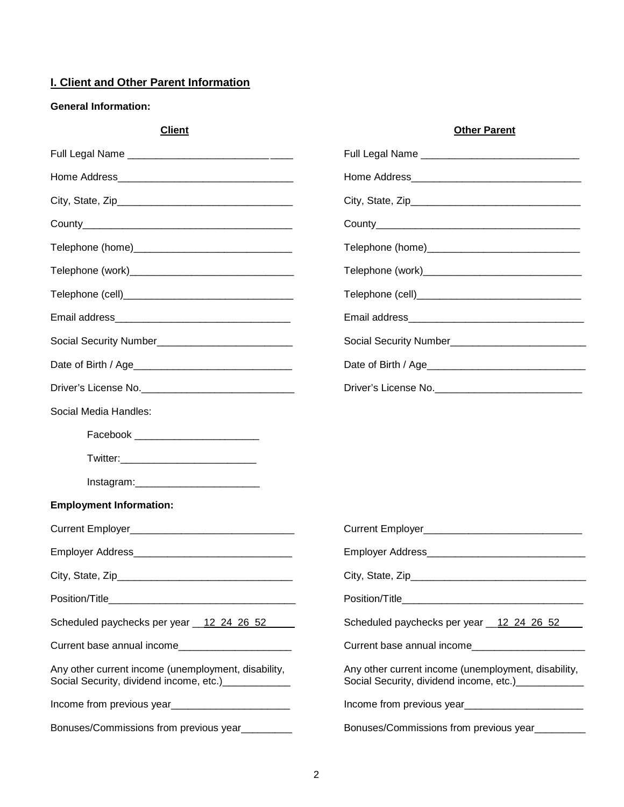## **I. Client and Other Parent Information**

## **General Information:**

| <b>Client</b>                                                                                                                                                                                                                          | <b>Other Parent</b>                                                                                         |
|----------------------------------------------------------------------------------------------------------------------------------------------------------------------------------------------------------------------------------------|-------------------------------------------------------------------------------------------------------------|
|                                                                                                                                                                                                                                        |                                                                                                             |
|                                                                                                                                                                                                                                        |                                                                                                             |
|                                                                                                                                                                                                                                        |                                                                                                             |
|                                                                                                                                                                                                                                        |                                                                                                             |
|                                                                                                                                                                                                                                        |                                                                                                             |
|                                                                                                                                                                                                                                        |                                                                                                             |
|                                                                                                                                                                                                                                        |                                                                                                             |
|                                                                                                                                                                                                                                        |                                                                                                             |
|                                                                                                                                                                                                                                        |                                                                                                             |
|                                                                                                                                                                                                                                        |                                                                                                             |
|                                                                                                                                                                                                                                        | Driver's License No. _______________________________                                                        |
| Social Media Handles:                                                                                                                                                                                                                  |                                                                                                             |
|                                                                                                                                                                                                                                        |                                                                                                             |
|                                                                                                                                                                                                                                        |                                                                                                             |
| Instagram:____________________________                                                                                                                                                                                                 |                                                                                                             |
| <b>Employment Information:</b>                                                                                                                                                                                                         |                                                                                                             |
|                                                                                                                                                                                                                                        |                                                                                                             |
|                                                                                                                                                                                                                                        |                                                                                                             |
| City, State, Zip                                                                                                                                                                                                                       | City, State, Zip                                                                                            |
|                                                                                                                                                                                                                                        |                                                                                                             |
| Scheduled paychecks per year 12 24 26 52                                                                                                                                                                                               | Scheduled paychecks per year 12 24 26 52                                                                    |
| Current base annual income                                                                                                                                                                                                             | Current base annual income                                                                                  |
| Any other current income (unemployment, disability,<br>Social Security, dividend income, etc.)_____________                                                                                                                            | Any other current income (unemployment, disability,<br>Social Security, dividend income, etc.)_____________ |
| Income from previous year<br><u>[</u> [11] The same stream and stream and stream and stream and stream and stream and stream and stream and stream and stream and stream and stream and stream and stream and stream and stream and st |                                                                                                             |
| Bonuses/Commissions from previous year_________                                                                                                                                                                                        | Bonuses/Commissions from previous year_________                                                             |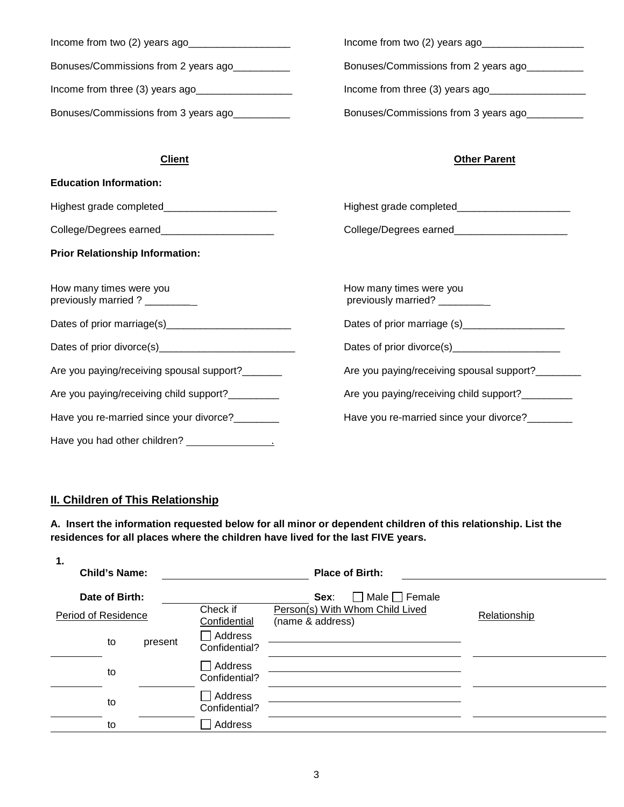| Income from two (2) years ago_       | Income from two (2) years ago        |
|--------------------------------------|--------------------------------------|
| Bonuses/Commissions from 2 years ago | Bonuses/Commissions from 2 years ago |
| Income from three (3) years ago_     | Income from three (3) years ago      |
| Bonuses/Commissions from 3 years ago | Bonuses/Commissions from 3 years ago |

## **Client Other Parent**

| <b>Education Information:</b>                            |                                                          |  |  |
|----------------------------------------------------------|----------------------------------------------------------|--|--|
| Highest grade completed________________________          |                                                          |  |  |
| College/Degrees earned________________________           | College/Degrees earned_________________________          |  |  |
| <b>Prior Relationship Information:</b>                   |                                                          |  |  |
| How many times were you<br>previously married ? ________ | How many times were you<br>previously married? _________ |  |  |
|                                                          | Dates of prior marriage (s)____________________          |  |  |
|                                                          | Dates of prior divorce(s)_______________________         |  |  |
| Are you paying/receiving spousal support?_______         | Are you paying/receiving spousal support?_______         |  |  |
| Are you paying/receiving child support?_________         | Are you paying/receiving child support?_________         |  |  |
| Have you re-married since your divorce?                  | Have you re-married since your divorce?                  |  |  |
|                                                          |                                                          |  |  |

# **II. Children of This Relationship**

**A. Insert the information requested below for all minor or dependent children of this relationship. List the residences for all places where the children have lived for the last FIVE years.** 

| 1.                  | <b>Child's Name:</b> |                          |                                                     | <b>Place of Birth:</b>                       |  |
|---------------------|----------------------|--------------------------|-----------------------------------------------------|----------------------------------------------|--|
|                     | Date of Birth:       |                          |                                                     | Male $\Box$ Female<br>Sex:<br>$\blacksquare$ |  |
| Period of Residence |                      | Check if<br>Confidential | Person(s) With Whom Child Lived<br>(name & address) | Relationship                                 |  |
|                     | to                   | present                  | Address<br>Confidential?                            |                                              |  |
|                     | to                   |                          | Address<br>Confidential?                            |                                              |  |
|                     | to                   |                          | Address<br>Confidential?                            |                                              |  |
|                     | to                   |                          | Address                                             |                                              |  |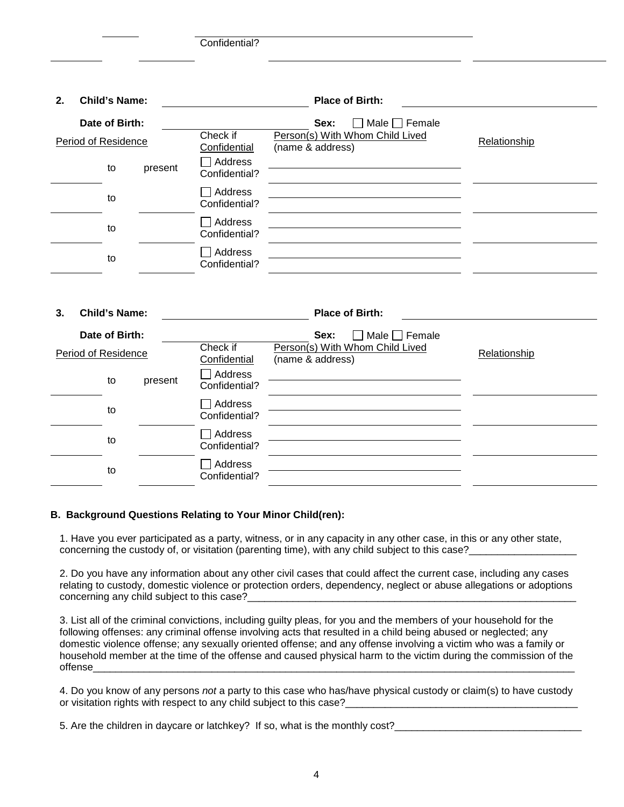Confidential?

| 2. | <b>Child's Name:</b>       |         |                                 | <b>Place of Birth:</b>                                        |              |
|----|----------------------------|---------|---------------------------------|---------------------------------------------------------------|--------------|
|    | Date of Birth:             |         | Check if                        | Male $\Box$ Female<br>Sex:<br>Person(s) With Whom Child Lived |              |
|    | <b>Period of Residence</b> |         | Confidential                    | (name & address)                                              | Relationship |
|    | to                         | present | Address<br>Confidential?        |                                                               |              |
|    | to                         |         | Address<br>Confidential?        |                                                               |              |
|    | to                         |         | Address<br>Confidential?        |                                                               |              |
|    | to                         |         | $\Box$ Address<br>Confidential? |                                                               |              |
| 3. | <b>Child's Name:</b>       |         |                                 | <b>Place of Birth:</b>                                        |              |
|    | Date of Birth:             |         |                                 | Male $\Box$ Female<br>Sex:                                    |              |
|    | Period of Residence        |         | Check if<br>Confidential        | Person(s) With Whom Child Lived<br>(name & address)           | Relationship |
|    | to                         | present | Address<br>Confidential?        |                                                               |              |
|    | to                         |         | Address<br>Confidential?        |                                                               |              |
|    | to                         |         | Address<br>Confidential?        |                                                               |              |
|    | to                         |         | Address<br>Confidential?        |                                                               |              |

### **B. Background Questions Relating to Your Minor Child(ren):**

1. Have you ever participated as a party, witness, or in any capacity in any other case, in this or any other state, concerning the custody of, or visitation (parenting time), with any child subject to this case?

2. Do you have any information about any other civil cases that could affect the current case, including any cases relating to custody, domestic violence or protection orders, dependency, neglect or abuse allegations or adoptions concerning any child subject to this case?

3. List all of the criminal convictions, including guilty pleas, for you and the members of your household for the following offenses: any criminal offense involving acts that resulted in a child being abused or neglected; any domestic violence offense; any sexually oriented offense; and any offense involving a victim who was a family or household member at the time of the offense and caused physical harm to the victim during the commission of the offense\_\_\_\_\_\_\_\_\_\_\_\_\_\_\_\_\_\_\_\_\_\_\_\_\_\_\_\_\_\_\_\_\_\_\_\_\_\_\_\_\_\_\_\_\_\_\_\_\_\_\_\_\_\_\_\_\_\_\_\_\_\_\_\_\_\_\_\_\_\_\_\_\_\_\_\_\_\_\_\_\_\_\_\_\_

4. Do you know of any persons *not* a party to this case who has/have physical custody or claim(s) to have custody or visitation rights with respect to any child subject to this case?

5. Are the children in daycare or latchkey? If so, what is the monthly cost?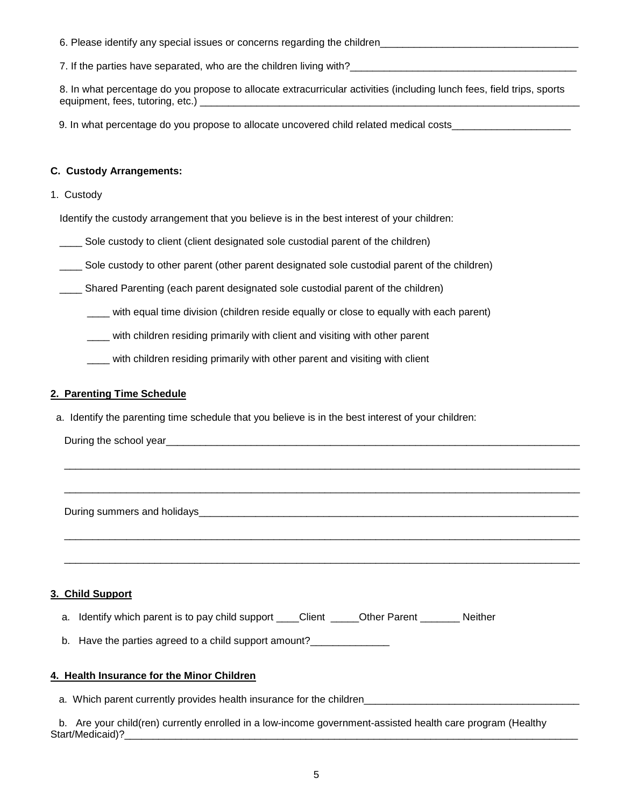| 6. Please identify any special issues or concerns regarding the children_ |  |
|---------------------------------------------------------------------------|--|
|                                                                           |  |

7. If the parties have separated, who are the children living with?\_\_\_\_\_\_\_\_\_\_\_\_\_\_\_\_\_\_\_\_\_\_\_\_\_\_\_\_\_\_\_\_\_\_\_\_\_\_\_\_

8. In what percentage do you propose to allocate extracurricular activities (including lunch fees, field trips, sports equipment, fees, tutoring, etc.) \_\_\_\_\_\_\_\_\_\_\_\_\_\_\_\_\_\_\_\_\_\_\_\_\_\_\_\_\_\_\_\_\_\_\_\_\_\_\_\_\_\_\_\_\_\_\_\_\_\_\_\_\_\_\_\_\_\_\_\_\_\_\_\_\_\_\_

9. In what percentage do you propose to allocate uncovered child related medical costs\_\_\_\_\_\_\_\_\_\_\_\_\_\_

### **C. Custody Arrangements:**

1. Custody

Identify the custody arrangement that you believe is in the best interest of your children:

Sole custody to client (client designated sole custodial parent of the children)

\_\_\_\_ Sole custody to other parent (other parent designated sole custodial parent of the children)

\_\_\_\_ Shared Parenting (each parent designated sole custodial parent of the children)

\_\_\_\_ with equal time division (children reside equally or close to equally with each parent)

\_\_\_\_\_\_\_\_\_\_\_\_\_\_\_\_\_\_\_\_\_\_\_\_\_\_\_\_\_\_\_\_\_\_\_\_\_\_\_\_\_\_\_\_\_\_\_\_\_\_\_\_\_\_\_\_\_\_\_\_\_\_\_\_\_\_\_\_\_\_\_\_\_\_\_\_\_\_\_\_\_\_\_\_\_\_\_\_\_\_\_

\_\_\_\_\_\_\_\_\_\_\_\_\_\_\_\_\_\_\_\_\_\_\_\_\_\_\_\_\_\_\_\_\_\_\_\_\_\_\_\_\_\_\_\_\_\_\_\_\_\_\_\_\_\_\_\_\_\_\_\_\_\_\_\_\_\_\_\_\_\_\_\_\_\_\_\_\_\_\_\_\_\_\_\_\_\_\_\_\_\_\_

\_\_\_\_\_\_\_\_\_\_\_\_\_\_\_\_\_\_\_\_\_\_\_\_\_\_\_\_\_\_\_\_\_\_\_\_\_\_\_\_\_\_\_\_\_\_\_\_\_\_\_\_\_\_\_\_\_\_\_\_\_\_\_\_\_\_\_\_\_\_\_\_\_\_\_\_\_\_\_\_\_\_\_\_\_\_\_\_\_\_\_

\_\_\_\_\_\_\_\_\_\_\_\_\_\_\_\_\_\_\_\_\_\_\_\_\_\_\_\_\_\_\_\_\_\_\_\_\_\_\_\_\_\_\_\_\_\_\_\_\_\_\_\_\_\_\_\_\_\_\_\_\_\_\_\_\_\_\_\_\_\_\_\_\_\_\_\_\_\_\_\_\_\_\_\_\_\_\_\_\_\_\_

\_\_\_\_ with children residing primarily with client and visiting with other parent

\_\_\_\_ with children residing primarily with other parent and visiting with client

#### **2. Parenting Time Schedule**

a. Identify the parenting time schedule that you believe is in the best interest of your children:

During the school year

During summers and holidays **Example 20** and  $\frac{1}{2}$  and  $\frac{1}{2}$  and  $\frac{1}{2}$  and  $\frac{1}{2}$  and  $\frac{1}{2}$  and  $\frac{1}{2}$  and  $\frac{1}{2}$  and  $\frac{1}{2}$  and  $\frac{1}{2}$  and  $\frac{1}{2}$  and  $\frac{1}{2}$  and  $\frac{1}{2}$  and  $\frac{1}{2}$ 

### **3. Child Support**

|  | a. Identify which parent is to pay child support |  |  | Client | Other Parent | Neither |
|--|--------------------------------------------------|--|--|--------|--------------|---------|
|--|--------------------------------------------------|--|--|--------|--------------|---------|

b. Have the parties agreed to a child support amount?

### **4. Health Insurance for the Minor Children**

a. Which parent currently provides health insurance for the children

| b. Are your child(ren) currently enrolled in a low-income government-assisted health care program (Healthy |
|------------------------------------------------------------------------------------------------------------|
| Start/Medicaid)?                                                                                           |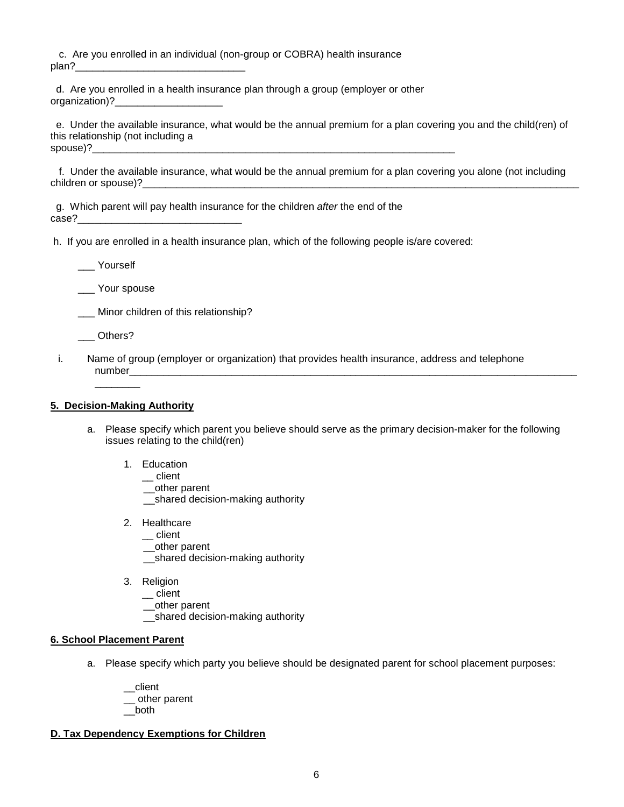c. Are you enrolled in an individual (non-group or COBRA) health insurance plan?

 d. Are you enrolled in a health insurance plan through a group (employer or other organization)?

 e. Under the available insurance, what would be the annual premium for a plan covering you and the child(ren) of this relationship (not including a spouse)?\_\_\_\_\_\_\_\_\_\_\_\_\_\_\_\_\_\_\_\_\_\_\_\_\_\_\_\_\_\_\_\_\_\_\_\_\_\_\_\_\_\_\_\_\_\_\_\_\_\_\_\_\_\_\_\_\_\_\_\_\_\_\_\_

 f. Under the available insurance, what would be the annual premium for a plan covering you alone (not including children or spouse)?

 g. Which parent will pay health insurance for the children *after* the end of the case?

h. If you are enrolled in a health insurance plan, which of the following people is/are covered:

\_\_\_ Yourself

Your spouse

\_\_\_ Minor children of this relationship?

\_\_\_ Others?

i. Name of group (employer or organization) that provides health insurance, address and telephone number\_\_\_\_\_\_\_\_\_\_\_\_\_\_\_\_\_\_\_\_\_\_\_\_\_\_\_\_\_\_\_\_\_\_\_\_\_\_\_\_\_\_\_\_\_\_\_\_\_\_\_\_\_\_\_\_\_\_\_\_\_\_\_\_\_\_\_\_\_\_\_\_\_\_\_\_\_\_\_

#### **5. Decision-Making Authority**

 $\overline{\phantom{a}}$ 

- a. Please specify which parent you believe should serve as the primary decision-maker for the following issues relating to the child(ren)
	- 1. Education
		- $\equiv$  client

\_\_other parent

- \_\_shared decision-making authority
- 2. Healthcare
	- \_\_ client
	- \_\_other parent
	- \_\_shared decision-making authority
- 3. Religion
	- $\equiv$  client
	- \_\_other parent
	- \_\_shared decision-making authority

#### **6. School Placement Parent**

a. Please specify which party you believe should be designated parent for school placement purposes:

\_\_client \_\_ other parent \_\_both

#### **D. Tax Dependency Exemptions for Children**